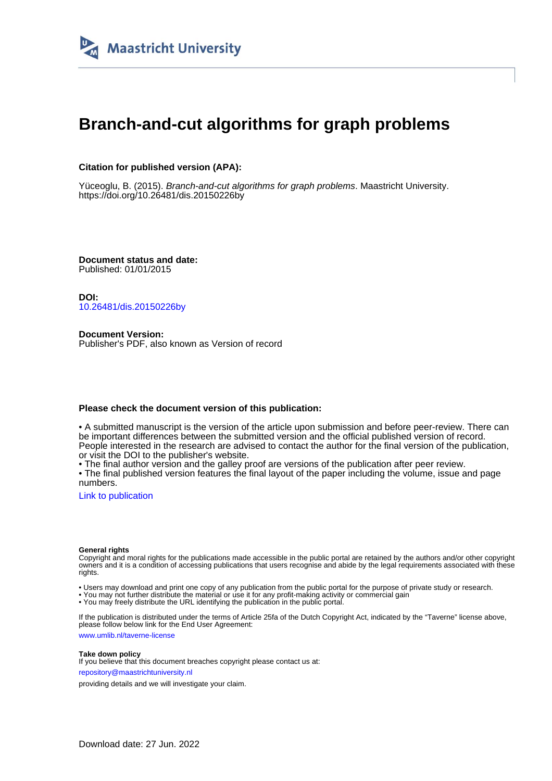

# **Branch-and-cut algorithms for graph problems**

# **Citation for published version (APA):**

Yüceoglu, B. (2015). Branch-and-cut algorithms for graph problems. Maastricht University. <https://doi.org/10.26481/dis.20150226by>

**Document status and date:** Published: 01/01/2015

**DOI:** [10.26481/dis.20150226by](https://doi.org/10.26481/dis.20150226by)

**Document Version:** Publisher's PDF, also known as Version of record

## **Please check the document version of this publication:**

• A submitted manuscript is the version of the article upon submission and before peer-review. There can be important differences between the submitted version and the official published version of record. People interested in the research are advised to contact the author for the final version of the publication, or visit the DOI to the publisher's website.

• The final author version and the galley proof are versions of the publication after peer review.

• The final published version features the final layout of the paper including the volume, issue and page numbers.

[Link to publication](https://cris.maastrichtuniversity.nl/en/publications/a4f8814a-2393-4732-bfaa-e3052b2ca3e4)

#### **General rights**

Copyright and moral rights for the publications made accessible in the public portal are retained by the authors and/or other copyright owners and it is a condition of accessing publications that users recognise and abide by the legal requirements associated with these rights.

• Users may download and print one copy of any publication from the public portal for the purpose of private study or research.

• You may not further distribute the material or use it for any profit-making activity or commercial gain

• You may freely distribute the URL identifying the publication in the public portal.

If the publication is distributed under the terms of Article 25fa of the Dutch Copyright Act, indicated by the "Taverne" license above, please follow below link for the End User Agreement:

www.umlib.nl/taverne-license

#### **Take down policy**

If you believe that this document breaches copyright please contact us at: repository@maastrichtuniversity.nl

providing details and we will investigate your claim.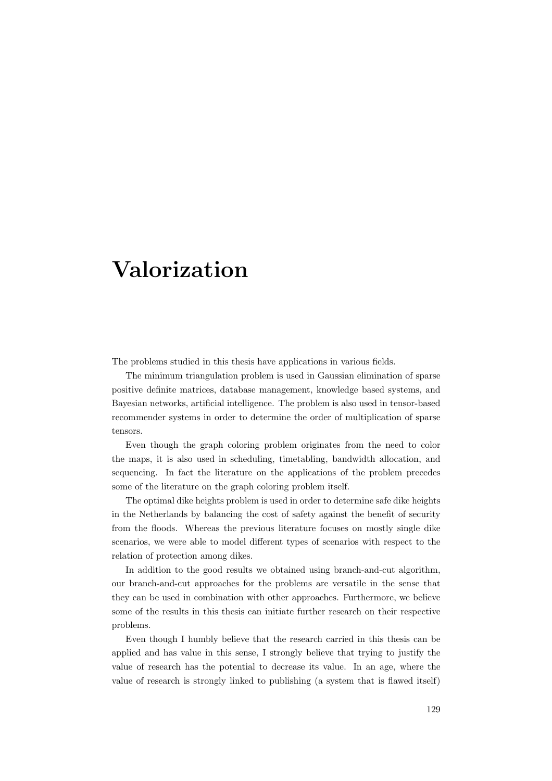# Valorization

The problems studied in this thesis have applications in various fields.

The minimum triangulation problem is used in Gaussian elimination of sparse positive definite matrices, database management, knowledge based systems, and Bayesian networks, artificial intelligence. The problem is also used in tensor-based recommender systems in order to determine the order of multiplication of sparse tensors.

Even though the graph coloring problem originates from the need to color the maps, it is also used in scheduling, timetabling, bandwidth allocation, and sequencing. In fact the literature on the applications of the problem precedes some of the literature on the graph coloring problem itself.

The optimal dike heights problem is used in order to determine safe dike heights in the Netherlands by balancing the cost of safety against the benefit of security from the floods. Whereas the previous literature focuses on mostly single dike scenarios, we were able to model different types of scenarios with respect to the relation of protection among dikes.

In addition to the good results we obtained using branch-and-cut algorithm, our branch-and-cut approaches for the problems are versatile in the sense that they can be used in combination with other approaches. Furthermore, we believe some of the results in this thesis can initiate further research on their respective problems.

Even though I humbly believe that the research carried in this thesis can be applied and has value in this sense, I strongly believe that trying to justify the value of research has the potential to decrease its value. In an age, where the value of research is strongly linked to publishing (a system that is flawed itself)